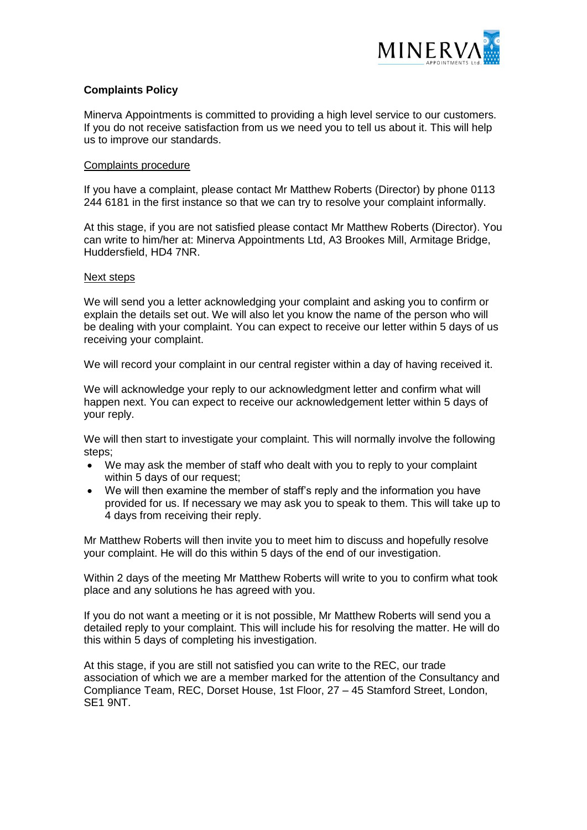

## **Complaints Policy**

Minerva Appointments is committed to providing a high level service to our customers. If you do not receive satisfaction from us we need you to tell us about it. This will help us to improve our standards.

## Complaints procedure

If you have a complaint, please contact Mr Matthew Roberts (Director) by phone 0113 244 6181 in the first instance so that we can try to resolve your complaint informally.

At this stage, if you are not satisfied please contact Mr Matthew Roberts (Director). You can write to him/her at: Minerva Appointments Ltd, A3 Brookes Mill, Armitage Bridge, Huddersfield, HD4 7NR.

## Next steps

We will send you a letter acknowledging your complaint and asking you to confirm or explain the details set out. We will also let you know the name of the person who will be dealing with your complaint. You can expect to receive our letter within 5 days of us receiving your complaint.

We will record your complaint in our central register within a day of having received it.

We will acknowledge your reply to our acknowledgment letter and confirm what will happen next. You can expect to receive our acknowledgement letter within 5 days of your reply.

We will then start to investigate your complaint. This will normally involve the following steps;

- We may ask the member of staff who dealt with you to reply to your complaint within 5 days of our request;
- We will then examine the member of staff's reply and the information you have provided for us. If necessary we may ask you to speak to them. This will take up to 4 days from receiving their reply.

Mr Matthew Roberts will then invite you to meet him to discuss and hopefully resolve your complaint. He will do this within 5 days of the end of our investigation.

Within 2 days of the meeting Mr Matthew Roberts will write to you to confirm what took place and any solutions he has agreed with you.

If you do not want a meeting or it is not possible, Mr Matthew Roberts will send you a detailed reply to your complaint. This will include his for resolving the matter. He will do this within 5 days of completing his investigation.

At this stage, if you are still not satisfied you can write to the REC, our trade association of which we are a member marked for the attention of the Consultancy and Compliance Team, REC, Dorset House, 1st Floor, 27 – 45 Stamford Street, London, SE1 9NT.